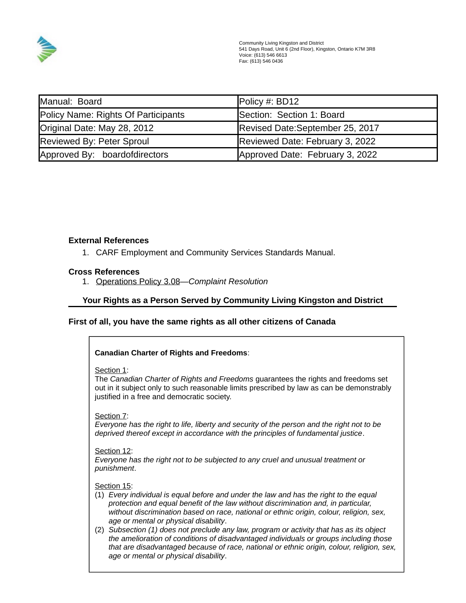

| Manual: Board                       | Policy #: BD12                  |
|-------------------------------------|---------------------------------|
| Policy Name: Rights Of Participants | Section: Section 1: Board       |
| Original Date: May 28, 2012         | Revised Date:September 25, 2017 |
| Reviewed By: Peter Sproul           | Reviewed Date: February 3, 2022 |
| Approved By: boardofdirectors       | Approved Date: February 3, 2022 |

# **External References**

1. CARF Employment and Community Services Standards Manual.

#### **Cross References**

1. Operations Policy 3.08*—Complaint Resolution*

## **Your Rights as a Person Served by Community Living Kingston and District**

#### **First of all, you have the same rights as all other citizens of Canada**

| <b>Canadian Charter of Rights and Freedoms:</b>                                                                                                                                                                                                                                                                                                                                                                                                                                                                                                                                                                                                           |
|-----------------------------------------------------------------------------------------------------------------------------------------------------------------------------------------------------------------------------------------------------------------------------------------------------------------------------------------------------------------------------------------------------------------------------------------------------------------------------------------------------------------------------------------------------------------------------------------------------------------------------------------------------------|
| Section 1:<br>The Canadian Charter of Rights and Freedoms guarantees the rights and freedoms set<br>out in it subject only to such reasonable limits prescribed by law as can be demonstrably<br>justified in a free and democratic society.                                                                                                                                                                                                                                                                                                                                                                                                              |
| Section 7:<br>Everyone has the right to life, liberty and security of the person and the right not to be<br>deprived thereof except in accordance with the principles of fundamental justice.                                                                                                                                                                                                                                                                                                                                                                                                                                                             |
| Section 12:<br>Everyone has the right not to be subjected to any cruel and unusual treatment or<br>punishment.                                                                                                                                                                                                                                                                                                                                                                                                                                                                                                                                            |
| Section 15:<br>(1) Every individual is equal before and under the law and has the right to the equal<br>protection and equal benefit of the law without discrimination and, in particular,<br>without discrimination based on race, national or ethnic origin, colour, religion, sex,<br>age or mental or physical disability.<br>(2) Subsection (1) does not preclude any law, program or activity that has as its object<br>the amelioration of conditions of disadvantaged individuals or groups including those<br>that are disadvantaged because of race, national or ethnic origin, colour, religion, sex,<br>age or mental or physical disability. |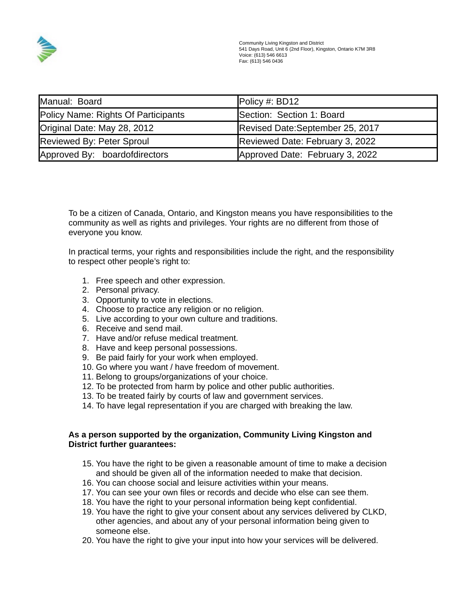

| Manual: Board                       | Policy #: BD12                  |
|-------------------------------------|---------------------------------|
| Policy Name: Rights Of Participants | Section: Section 1: Board       |
| Original Date: May 28, 2012         | Revised Date:September 25, 2017 |
| Reviewed By: Peter Sproul           | Reviewed Date: February 3, 2022 |
| Approved By: boardofdirectors       | Approved Date: February 3, 2022 |

To be a citizen of Canada, Ontario, and Kingston means you have responsibilities to the community as well as rights and privileges. Your rights are no different from those of everyone you know.

In practical terms, your rights and responsibilities include the right, and the responsibility to respect other people's right to:

- 1. Free speech and other expression.
- 2. Personal privacy.
- 3. Opportunity to vote in elections.
- 4. Choose to practice any religion or no religion.
- 5. Live according to your own culture and traditions.
- 6. Receive and send mail.
- 7. Have and/or refuse medical treatment.
- 8. Have and keep personal possessions.
- 9. Be paid fairly for your work when employed.
- 10. Go where you want / have freedom of movement.
- 11. Belong to groups/organizations of your choice.
- 12. To be protected from harm by police and other public authorities.
- 13. To be treated fairly by courts of law and government services.
- 14. To have legal representation if you are charged with breaking the law.

## **As a person supported by the organization, Community Living Kingston and District further guarantees:**

- 15. You have the right to be given a reasonable amount of time to make a decision and should be given all of the information needed to make that decision.
- 16. You can choose social and leisure activities within your means.
- 17. You can see your own files or records and decide who else can see them.
- 18. You have the right to your personal information being kept confidential.
- 19. You have the right to give your consent about any services delivered by CLKD, other agencies, and about any of your personal information being given to someone else.
- 20. You have the right to give your input into how your services will be delivered.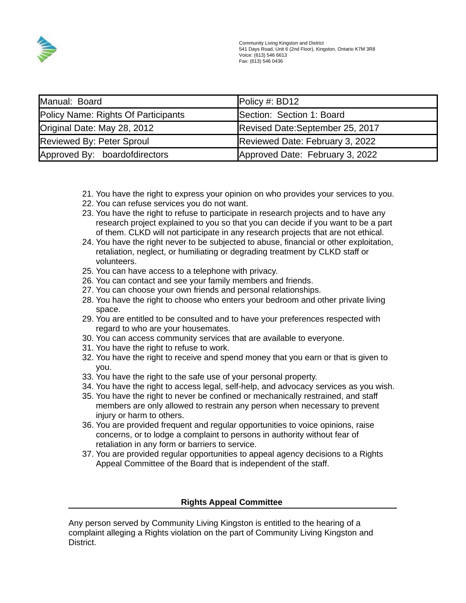

| Manual: Board                       | Policy #: BD12                  |
|-------------------------------------|---------------------------------|
| Policy Name: Rights Of Participants | Section: Section 1: Board       |
| Original Date: May 28, 2012         | Revised Date:September 25, 2017 |
| Reviewed By: Peter Sproul           | Reviewed Date: February 3, 2022 |
| Approved By: boardofdirectors       | Approved Date: February 3, 2022 |

- 21. You have the right to express your opinion on who provides your services to you.
- 22. You can refuse services you do not want.
- 23. You have the right to refuse to participate in research projects and to have any research project explained to you so that you can decide if you want to be a part of them. CLKD will not participate in any research projects that are not ethical.
- 24. You have the right never to be subjected to abuse, financial or other exploitation, retaliation, neglect, or humiliating or degrading treatment by CLKD staff or volunteers.
- 25. You can have access to a telephone with privacy.
- 26. You can contact and see your family members and friends.
- 27. You can choose your own friends and personal relationships.
- 28. You have the right to choose who enters your bedroom and other private living space.
- 29. You are entitled to be consulted and to have your preferences respected with regard to who are your housemates.
- 30. You can access community services that are available to everyone.
- 31. You have the right to refuse to work.
- 32. You have the right to receive and spend money that you earn or that is given to you.
- 33. You have the right to the safe use of your personal property.
- 34. You have the right to access legal, self-help, and advocacy services as you wish.
- 35. You have the right to never be confined or mechanically restrained, and staff members are only allowed to restrain any person when necessary to prevent injury or harm to others.
- 36. You are provided frequent and regular opportunities to voice opinions, raise concerns, or to lodge a complaint to persons in authority without fear of retaliation in any form or barriers to service.
- 37. You are provided regular opportunities to appeal agency decisions to a Rights Appeal Committee of the Board that is independent of the staff.

# **Rights Appeal Committee**

Any person served by Community Living Kingston is entitled to the hearing of a complaint alleging a Rights violation on the part of Community Living Kingston and District.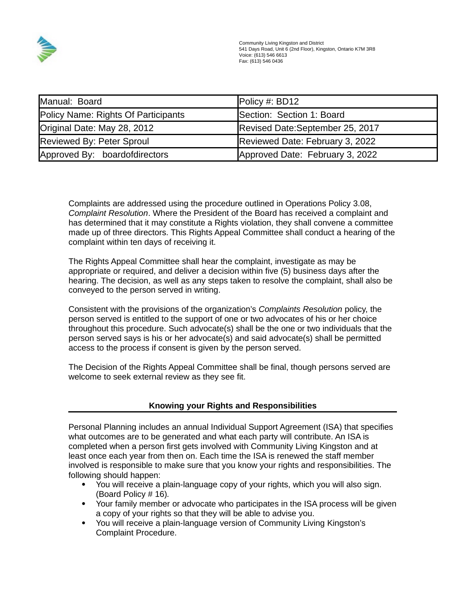

| Manual: Board                       | Policy #: BD12                   |
|-------------------------------------|----------------------------------|
| Policy Name: Rights Of Participants | Section: Section 1: Board        |
| Original Date: May 28, 2012         | Revised Date: September 25, 2017 |
| <b>Reviewed By: Peter Sproul</b>    | Reviewed Date: February 3, 2022  |
| Approved By: boardofdirectors       | Approved Date: February 3, 2022  |

Complaints are addressed using the procedure outlined in Operations Policy 3.08, *Complaint Resolution*. Where the President of the Board has received a complaint and has determined that it may constitute a Rights violation, they shall convene a committee made up of three directors. This Rights Appeal Committee shall conduct a hearing of the complaint within ten days of receiving it.

The Rights Appeal Committee shall hear the complaint, investigate as may be appropriate or required, and deliver a decision within five (5) business days after the hearing. The decision, as well as any steps taken to resolve the complaint, shall also be conveyed to the person served in writing.

Consistent with the provisions of the organization's *Complaints Resolution* policy, the person served is entitled to the support of one or two advocates of his or her choice throughout this procedure. Such advocate(s) shall be the one or two individuals that the person served says is his or her advocate(s) and said advocate(s) shall be permitted access to the process if consent is given by the person served.

The Decision of the Rights Appeal Committee shall be final, though persons served are welcome to seek external review as they see fit.

# **Knowing your Rights and Responsibilities**

Personal Planning includes an annual Individual Support Agreement (ISA) that specifies what outcomes are to be generated and what each party will contribute. An ISA is completed when a person first gets involved with Community Living Kingston and at least once each year from then on. Each time the ISA is renewed the staff member involved is responsible to make sure that you know your rights and responsibilities. The following should happen:

- You will receive a plain-language copy of your rights, which you will also sign. (Board Policy # 16)*.*
- Your family member or advocate who participates in the ISA process will be given a copy of your rights so that they will be able to advise you.
- You will receive a plain-language version of Community Living Kingston's Complaint Procedure.